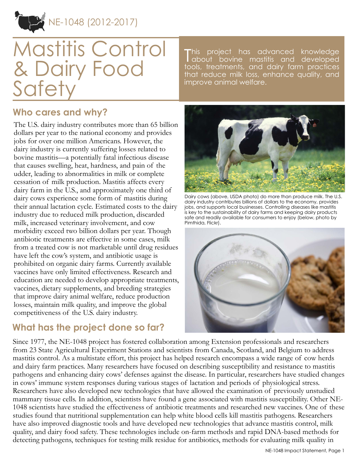

# Mastitis Control & Dairy Food **Safety**

This project has advanced knowledge<br>Tabout bovine mastitis and developed about bovine mastitis and developed tools, treatments, and dairy farm practices that reduce milk loss, enhance quality, and improve animal welfare.

### **Who cares and why?**

The U.S. dairy industry contributes more than 65 billion dollars per year to the national economy and provides jobs for over one million Americans. However, the dairy industry is currently suffering losses related to bovine mastitis—a potentially fatal infectious disease that causes swelling, heat, hardness, and pain of the udder, leading to abnormalities in milk or complete cessation of milk production. Mastitis affects every dairy farm in the U.S., and approximately one third of dairy cows experience some form of mastitis during their annual lactation cycle. Estimated costs to the dairy industry due to reduced milk production, discarded milk, increased veterinary involvement, and cow morbidity exceed two billion dollars per year. Though antibiotic treatments are effective in some cases, milk from a treated cow is not marketable until drug residues have left the cow's system, and antibiotic usage is prohibited on organic dairy farms. Currently available vaccines have only limited effectiveness. Research and education are needed to develop appropriate treatments, vaccines, dietary supplements, and breeding strategies that improve dairy animal welfare, reduce production losses, maintain milk quality, and improve the global competitiveness of the U.S. dairy industry.

# **What has the project done so far?**



Dairy cows (above, USDA photo) do more than produce milk. The U.S. dairy industry contributes billions of dollars to the economy, provides jobs, and supports local businesses. Controlling diseases like mastitis is key to the sustainability of dairy farms and keeping dairy products safe and readily available for consumers to enjoy (below, photo by Pimthida, [Flickr\)](http://www.flickr.com/photos/pimthida/).



Since 1977, the NE-1048 project has fostered collaboration among Extension professionals and researchers from 23 State Agricultural Experiment Stations and scientists from Canada, Scotland, and Belgium to address mastitis control. As a multistate effort, this project has helped research encompass a wide range of cow herds and dairy farm practices. Many researchers have focused on describing susceptibility and resistance to mastitis pathogens and enhancing dairy cows' defenses against the disease. In particular, researchers have studied changes in cows' immune system responses during various stages of lactation and periods of physiological stress. Researchers have also developed new technologies that have allowed the examination of previously unstudied mammary tissue cells. In addition, scientists have found a gene associated with mastitis susceptibility. Other NE-1048 scientists have studied the effectiveness of antibiotic treatments and researched new vaccines. One of these studies found that nutritional supplementation can help white blood cells kill mastitis pathogens. Researchers have also improved diagnostic tools and have developed new technologies that advance mastitis control, milk quality, and dairy food safety. These technologies include on-farm methods and rapid DNA-based methods for detecting pathogens, techniques for testing milk residue for antibiotics, methods for evaluating milk quality in